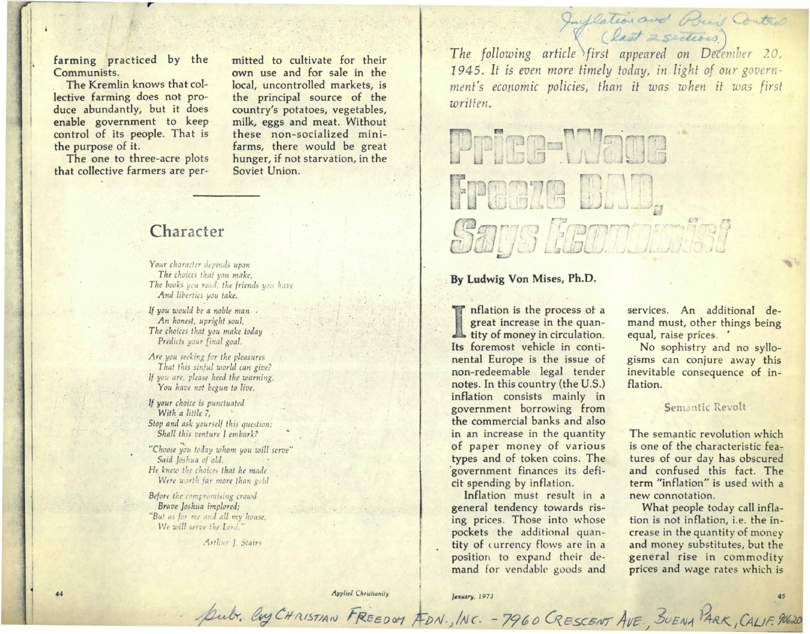farming practiced by the Communists.

The Kremlin knows that collective farming does not produce abundantly, but it does enable government to keep control of its people. That is the purpose of it.

The one to three-acre plots that collective farmers are permitted to cultivate for their own use and for sale in the local, uncontrolled markets, is the principal source of the country's potatoes, vegetables, milk, eggs and meat. Without these non-socialized minifarms, there would be great hunger, if not starvation, in the Soviet Union.

# Character

Your character depends upon The choices that you make, The books you read, the friends you have And liberties you take.

If you would be a noble man An honest, upright soul, The choices that you make today Predicts your final goal.

Are you seeking for the pleasures That this sinful world can give? If you are, please heed the warning. You have not begun to live.

If your choice is punctuated With a little ?, Stop and ask yourself this question: Shall this venture I embark?

"Choose you today whom you will serve" Said Joshua of old. He knew the choices that he made Were worth far more than gold

Before the compromising crowd Brave Joshua implored; "But as for me and all my house, We will serve the Lord."

Arthur J. Stairs

Juflation and Build Control The following article first appeared on December 20, 1945. It is even more timely today, in light of our government's economic policies, than it was when it was first written.

# Pries-Maqe Freeze DLU, Says Heanomist

## By Ludwig Von Mises, Ph.D.

Inflation is the process of a great increase in the quantity of money in circulation. Its foremost vehicle in continental Europe is the issue of non-redeemable legal tender notes. In this country (the U.S.) inflation consists mainly in government borrowing from the commercial banks and also in an increase in the quantity of paper money of various types and of token coins. The government finances its deficit spending by inflation.

Inflation must result in a general tendency towards rising prices. Those into whose pockets the additional quantity of currency flows are in a position to expand their demand for vendable goods and

services. An additional demand must, other things being equal, raise prices. .

No sophistry and no syllogisms can conjure away this inevitable consequence of inflation.

#### Semantic Revolt

The semantic revolution which is one of the characteristic features of our day has obscured and confused this fact. The term "inflation" is used with a new connotation.

What people today call inflation is not inflation, i.e. the increase in the quantity of money and money substitutes, but the general rise in commodity prices and wage rates which is

Applied Christianity

January, 1973

pub. Cuy CHRISTIAN FREEDOM FON., INC. - 7960 CRESCENT AVE., BUENA PARK, CALIF. 90620